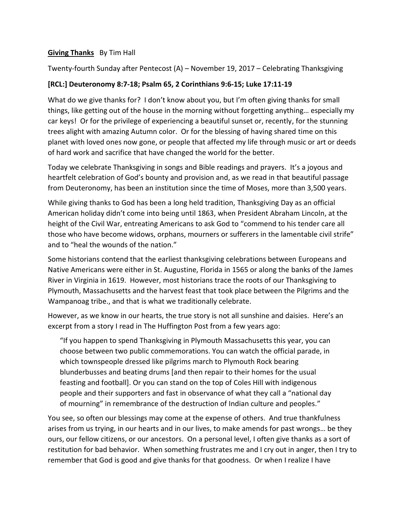## **Giving Thanks** By Tim Hall

Twenty-fourth Sunday after Pentecost (A) – November 19, 2017 – Celebrating Thanksgiving

## **[RCL:] Deuteronomy 8:7-18; Psalm 65, 2 Corinthians 9:6-15; Luke 17:11-19**

What do we give thanks for? I don't know about you, but I'm often giving thanks for small things, like getting out of the house in the morning without forgetting anything… especially my car keys! Or for the privilege of experiencing a beautiful sunset or, recently, for the stunning trees alight with amazing Autumn color. Or for the blessing of having shared time on this planet with loved ones now gone, or people that affected my life through music or art or deeds of hard work and sacrifice that have changed the world for the better.

Today we celebrate Thanksgiving in songs and Bible readings and prayers. It's a joyous and heartfelt celebration of God's bounty and provision and, as we read in that beautiful passage from Deuteronomy, has been an institution since the time of Moses, more than 3,500 years.

While giving thanks to God has been a long held tradition, Thanksgiving Day as an official American holiday didn't come into being until 1863, when President Abraham Lincoln, at the height of the Civil War, entreating Americans to ask God to "commend to his tender care all those who have become widows, orphans, mourners or sufferers in the lamentable civil strife" and to "heal the wounds of the nation."

Some historians contend that the earliest thanksgiving celebrations between Europeans and Native Americans were either in St. Augustine, Florida in 1565 or along the banks of the James River in Virginia in 1619. However, most historians trace the roots of our Thanksgiving to Plymouth, Massachusetts and the harvest feast that took place between the Pilgrims and the Wampanoag tribe., and that is what we traditionally celebrate.

However, as we know in our hearts, the true story is not all sunshine and daisies. Here's an excerpt from a story I read in The Huffington Post from a few years ago:

"If you happen to spend Thanksgiving in Plymouth Massachusetts this year, you can choose between two public commemorations. You can watch the official parade, in which townspeople dressed like pilgrims march to Plymouth Rock bearing blunderbusses and beating drums [and then repair to their homes for the usual feasting and football]. Or you can stand on the top of Coles Hill with indigenous people and their supporters and fast in observance of what they call a "national day of mourning" in remembrance of the destruction of Indian culture and peoples."

You see, so often our blessings may come at the expense of others. And true thankfulness arises from us trying, in our hearts and in our lives, to make amends for past wrongs… be they ours, our fellow citizens, or our ancestors. On a personal level, I often give thanks as a sort of restitution for bad behavior. When something frustrates me and I cry out in anger, then I try to remember that God is good and give thanks for that goodness. Or when I realize I have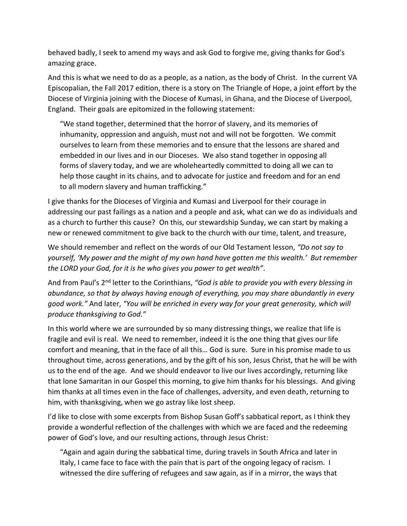behaved badly, I seek to amend my ways and ask God to forgive me, giving thanks for God's amazing grace.

And this is what we need to do as a people, as a nation, as the body of Christ. In the current VA Episcopalian, the Fall 2017 edition, there is a story on The Triangle of Hope, a joint effort by the Diocese of Virginia joining with the Diocese of Kumasi, in Ghana, and the Diocese of Liverpool, England. Their goals are epitomized in the following statement:

"We stand together, determined that the horror of slavery, and its memories of inhumanity, oppression and anguish, must not and will not be forgotten. We commit ourselves to learn from these memories and to ensure that the lessons are shared and embedded in our lives and in our Dioceses. We also stand together in opposing all forms of slavery today, and we are wholeheartedly committed to doing all we can to help those caught in its chains, and to advocate for justice and freedom and for an end to all modern slavery and human trafficking."

I give thanks for the Dioceses of Virginia and Kumasi and Liverpool for their courage in addressing our past failings as a nation and a people and ask, what can we do as individuals and as a church to further this cause? On this, our stewardship Sunday, we can start by making a new or renewed commitment to give back to the church with our time, talent, and treasure,

We should remember and reflect on the words of our Old Testament lesson, *"Do not say to yourself, 'My power and the might of my own hand have gotten me this wealth.' But remember the LORD your God, for it is he who gives you power to get wealth"*.

And from Paul's 2nd letter to the Corinthians, *"God is able to provide you with every blessing in abundance, so that by always having enough of everything, you may share abundantly in every good work."* And later, *"You will be enriched in every way for your great generosity, which will produce thanksgiving to God."*

In this world where we are surrounded by so many distressing things, we realize that life is fragile and evil is real. We need to remember, indeed it is the one thing that gives our life comfort and meaning, that in the face of all this… God is sure. Sure in his promise made to us throughout time, across generations, and by the gift of his son, Jesus Christ, that he will be with us to the end of the age. And we should endeavor to live our lives accordingly, returning like that lone Samaritan in our Gospel this morning, to give him thanks for his blessings. And giving him thanks at all times even in the face of challenges, adversity, and even death, returning to him, with thanksgiving, when we go astray like lost sheep.

I'd like to close with some excerpts from Bishop Susan Goff's sabbatical report, as I think they provide a wonderful reflection of the challenges with which we are faced and the redeeming power of God's love, and our resulting actions, through Jesus Christ:

"Again and again during the sabbatical time, during travels in South Africa and later in Italy, I came face to face with the pain that is part of the ongoing legacy of racism. I witnessed the dire suffering of refugees and saw again, as if in a mirror, the ways that